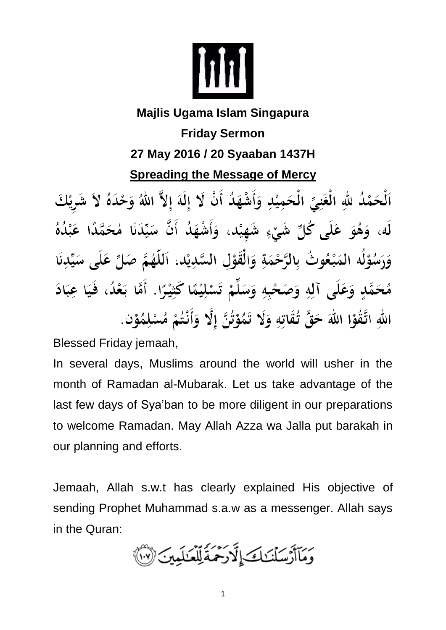

## **Majlis Ugama Islam Singapura Friday Sermon 27 May 2016 / 20 Syaaban 1437H Spreading the Message of Mercy**

اَلْحَمْدُ للَّهِ الْغَنِيِّ الْحَمِيْدِ وَأَشْهَدُ أَنْ لَا إِلَهَ إِلاَّ اللَّهُ وَحْدَهُ لاَ شَرِيْكَ لَه، وَهُوَ عَلَى كُلِّ شَيْءٍ شَهِيْد، وَأَشْهَدُ أَنَّ سَيِّدَنَا مُحَمَّدًا عَبْدُهُ وَرَسُوْلُه المَبْعُوتُ بِالرَّحْمَةِ وَالْقَوْلِ السَّدِيْدِ، اَللَّهُمَّ صَلِّ عَلَى سَيِّدِنَا مُحَمَّدٍ وَعَلَى آلِهِ وَصَحْبِهِ وَسَلِّمْ تَسْلِيْمًا كَثِيْرًا. أَمَّا بَعْدُ، فَيَا عِبَادَ اللهِ اتَّقُوْا اللهَ حَقَّ تُقَاتِهِ وَلَا تَمُوْتُنَّ إِلَّا وَأَنْتُمْ مُسْلِمُوْن.

Blessed Friday jemaah,

In several days, Muslims around the world will usher in the month of Ramadan al-Mubarak. Let us take advantage of the last few days of Sya'ban to be more diligent in our preparations to welcome Ramadan. May Allah Azza wa Jalla put barakah in our planning and efforts.

Jemaah, Allah s.w.t has clearly explained His objective of sending Prophet Muhammad s.a.w as a messenger. Allah says in the Quran:

رَسَنَ سَنُنَـٰكَ إِنَّهٗ رَحْمَةً لِّلْعَـٰلَمِينَ ﴿ ۚ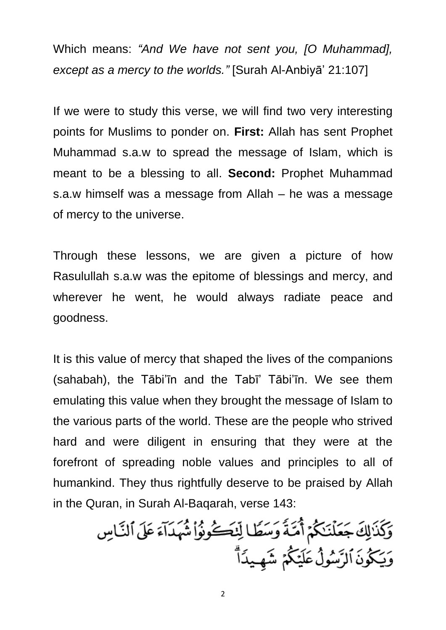Which means: *"And We have not sent you, [O Muhammad], except as a mercy to the worlds."* [Surah Al-Anbiyā' 21:107]

If we were to study this verse, we will find two very interesting points for Muslims to ponder on. **First:** Allah has sent Prophet Muhammad s.a.w to spread the message of Islam, which is meant to be a blessing to all. **Second:** Prophet Muhammad s.a.w himself was a message from Allah – he was a message of mercy to the universe.

Through these lessons, we are given a picture of how Rasulullah s.a.w was the epitome of blessings and mercy, and wherever he went, he would always radiate peace and goodness.

It is this value of mercy that shaped the lives of the companions (sahabah), the Tābi'īn and the Tabī' Tābi'īn. We see them emulating this value when they brought the message of Islam to the various parts of the world. These are the people who strived hard and were diligent in ensuring that they were at the forefront of spreading noble values and principles to all of humankind. They thus rightfully deserve to be praised by Allah in the Quran, in Surah Al-Baqarah, verse 143:

وَكَذَالِكَ جَعَلْنَكُمْ أُمَّـةً وَسَطًا لِّنْكَــُوثُواْ شُهَدَآءَ عَلَى ٱلنَّـاسِ وَيَكُونَ الرَّسُولُ عَلَيْكُمۡ شَهِيدَآ ۗ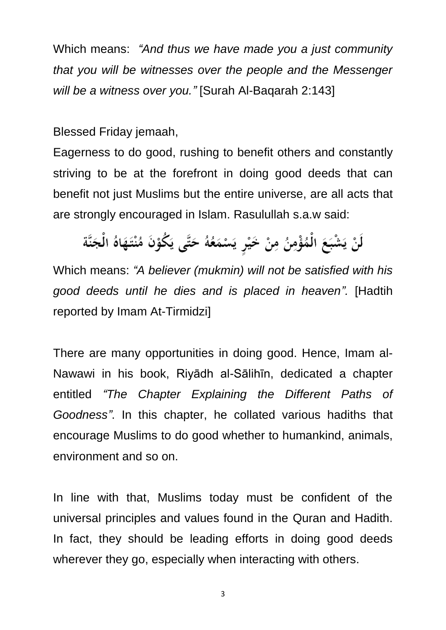Which means: *"And thus we have made you a just community that you will be witnesses over the people and the Messenger will be a witness over you."* [Surah Al-Baqarah 2:143]

Blessed Friday jemaah,

Eagerness to do good, rushing to benefit others and constantly striving to be at the forefront in doing good deeds that can benefit not just Muslims but the entire universe, are all acts that are strongly encouraged in Islam. Rasulullah s.a.w said:

لَنْ يَشْبَعَ الْمُؤْمِنُ مِنْ خَيْرٍ يَسْمَعُهُ حَتَّى يَكُوْنَ مُنْتَهَاهُ الْجَنَّة

Which means: *"A believer (mukmin) will not be satisfied with his good deeds until he dies and is placed in heaven".* [Hadtih reported by Imam At-Tirmidzi]

There are many opportunities in doing good. Hence, Imam al-Nawawi in his book, Riyādh al-Sālihīn, dedicated a chapter entitled *"The Chapter Explaining the Different Paths of Goodness"*. In this chapter, he collated various hadiths that encourage Muslims to do good whether to humankind, animals, environment and so on.

In line with that, Muslims today must be confident of the universal principles and values found in the Quran and Hadith. In fact, they should be leading efforts in doing good deeds wherever they go, especially when interacting with others.

3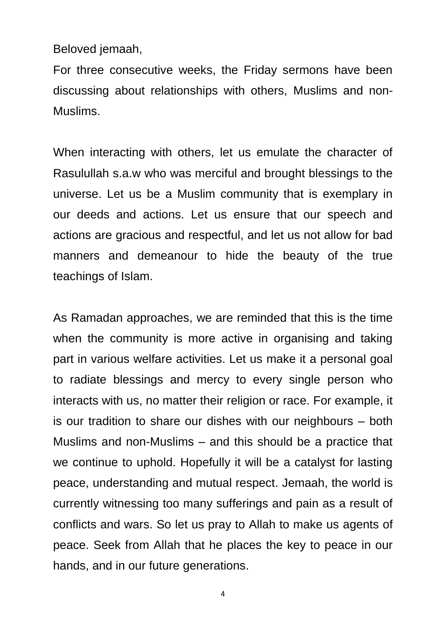Beloved jemaah,

For three consecutive weeks, the Friday sermons have been discussing about relationships with others, Muslims and non-Muslims.

When interacting with others, let us emulate the character of Rasulullah s.a.w who was merciful and brought blessings to the universe. Let us be a Muslim community that is exemplary in our deeds and actions. Let us ensure that our speech and actions are gracious and respectful, and let us not allow for bad manners and demeanour to hide the beauty of the true teachings of Islam.

As Ramadan approaches, we are reminded that this is the time when the community is more active in organising and taking part in various welfare activities. Let us make it a personal goal to radiate blessings and mercy to every single person who interacts with us, no matter their religion or race. For example, it is our tradition to share our dishes with our neighbours – both Muslims and non-Muslims – and this should be a practice that we continue to uphold. Hopefully it will be a catalyst for lasting peace, understanding and mutual respect. Jemaah, the world is currently witnessing too many sufferings and pain as a result of conflicts and wars. So let us pray to Allah to make us agents of peace. Seek from Allah that he places the key to peace in our hands, and in our future generations.

4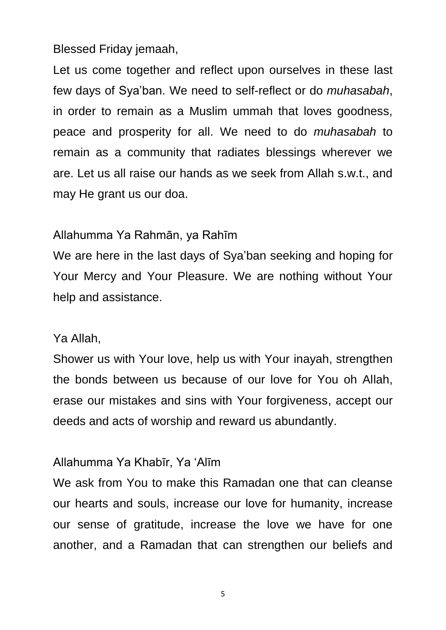Blessed Friday jemaah,

Let us come together and reflect upon ourselves in these last few days of Sya'ban. We need to self-reflect or do *muhasabah*, in order to remain as a Muslim ummah that loves goodness, peace and prosperity for all. We need to do *muhasabah* to remain as a community that radiates blessings wherever we are. Let us all raise our hands as we seek from Allah s.w.t., and may He grant us our doa.

## Allahumma Ya Rahmān, ya Rahīm

We are here in the last days of Sya'ban seeking and hoping for Your Mercy and Your Pleasure. We are nothing without Your help and assistance.

## Ya Allah,

Shower us with Your love, help us with Your inayah, strengthen the bonds between us because of our love for You oh Allah, erase our mistakes and sins with Your forgiveness, accept our deeds and acts of worship and reward us abundantly.

## Allahumma Ya Khabīr, Ya 'Alīm

We ask from You to make this Ramadan one that can cleanse our hearts and souls, increase our love for humanity, increase our sense of gratitude, increase the love we have for one another, and a Ramadan that can strengthen our beliefs and

5